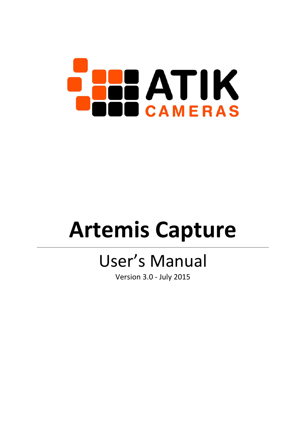

# **Artemis Capture**

# User's Manual

Version 3.0 - July 2015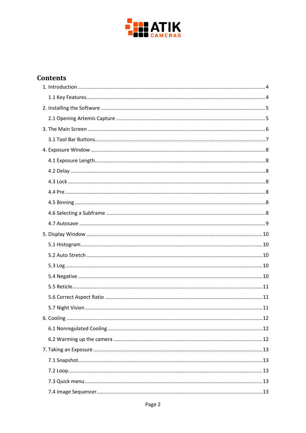

# **Contents**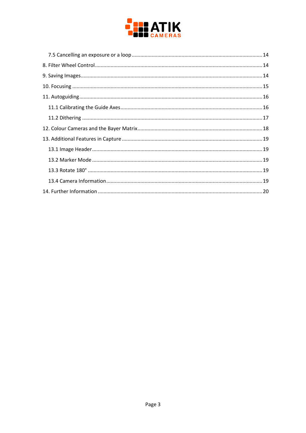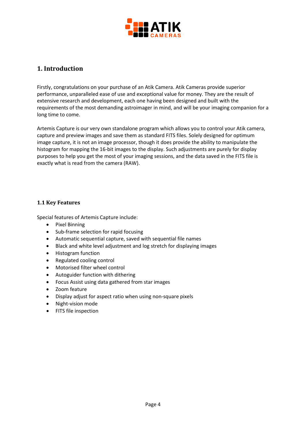

# <span id="page-3-0"></span>**1. Introduction**

Firstly, congratulations on your purchase of an Atik Camera. Atik Cameras provide superior performance, unparalleled ease of use and exceptional value for money. They are the result of extensive research and development, each one having been designed and built with the requirements of the most demanding astroimager in mind, and will be your imaging companion for a long time to come.

Artemis Capture is our very own standalone program which allows you to control your Atik camera, capture and preview images and save them as standard FITS files. Solely designed for optimum image capture, it is not an image processor, though it does provide the ability to manipulate the histogram for mapping the 16-bit images to the display. Such adjustments are purely for display purposes to help you get the most of your imaging sessions, and the data saved in the FITS file is exactly what is read from the camera (RAW).

#### <span id="page-3-1"></span>**1.1 Key Features**

Special features of Artemis Capture include:

- Pixel Binning
- Sub-frame selection for rapid focusing
- Automatic sequential capture, saved with sequential file names
- Black and white level adjustment and log stretch for displaying images
- Histogram function
- Regulated cooling control
- Motorised filter wheel control
- Autoguider function with dithering
- Focus Assist using data gathered from star images
- Zoom feature
- Display adjust for aspect ratio when using non-square pixels
- Night-vision mode
- FITS file inspection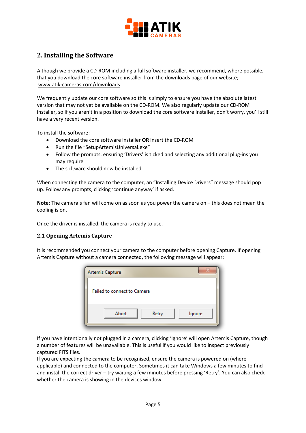

# <span id="page-4-0"></span>**2. Installing the Software**

Although we provide a CD-ROM including a full software installer, we recommend, where possible, that you download the core software installer from the downloads page of our website; [www.atik-cameras.com/downloads](http://www.atik-cameras.com/downloads)

We frequently update our core software so this is simply to ensure you have the absolute latest version that may not yet be available on the CD-ROM. We also regularly update our CD-ROM installer, so if you aren't in a position to download the core software installer, don't worry, you'll still have a very recent version.

To install the software:

- Download the core software installer **OR** insert the CD-ROM
- Run the file "SetupArtemisUniversal.exe"
- Follow the prompts, ensuring 'Drivers' is ticked and selecting any additional plug-ins you may require
- The software should now be installed

When connecting the camera to the computer, an "Installing Device Drivers" message should pop up. Follow any prompts, clicking 'continue anyway' if asked.

**Note:** The camera's fan will come on as soon as you power the camera on – this does not mean the cooling is on.

Once the driver is installed, the camera is ready to use.

#### <span id="page-4-1"></span>**2.1 Opening Artemis Capture**

It is recommended you connect your camera to the computer before opening Capture. If opening Artemis Capture without a camera connected, the following message will appear:

| Artemis Capture             |       |        |
|-----------------------------|-------|--------|
| Failed to connect to Camera |       |        |
| Abort                       | Retry | Ignore |

If you have intentionally not plugged in a camera, clicking 'Ignore' will open Artemis Capture, though a number of features will be unavailable. This is useful if you would like to inspect previously captured FITS files.

If you are expecting the camera to be recognised, ensure the camera is powered on (where applicable) and connected to the computer. Sometimes it can take Windows a few minutes to find and install the correct driver – try waiting a few minutes before pressing 'Retry'. You can also check whether the camera is showing in the devices window.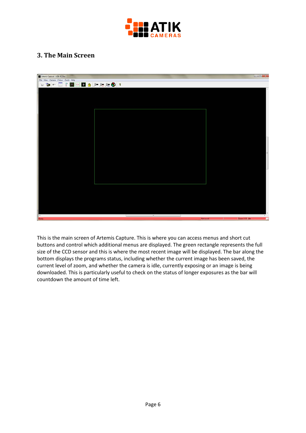

# <span id="page-5-0"></span>**3. The Main Screen**



This is the main screen of Artemis Capture. This is where you can access menus and short cut buttons and control which additional menus are displayed. The green rectangle represents the full size of the CCD sensor and this is where the most recent image will be displayed. The bar along the bottom displays the programs status, including whether the current image has been saved, the current level of zoom, and whether the camera is idle, currently exposing or an image is being downloaded. This is particularly useful to check on the status of longer exposures as the bar will countdown the amount of time left.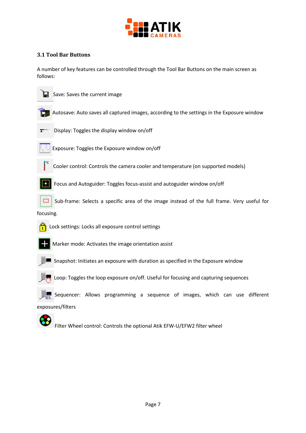

#### <span id="page-6-0"></span>**3.1 Tool Bar Buttons**

A number of key features can be controlled through the Tool Bar Buttons on the main screen as follows:



 $\Box$  Save: Saves the current image



Autosave: Auto saves all captured images, according to the settings in the Exposure window



Display: Toggles the display window on/off



Exposure: Toggles the Exposure window on/off



Cooler control: Controls the camera cooler and temperature (on supported models)



Focus and Autoguider: Toggles focus-assist and autoguider window on/off

Sub-frame: Selects a specific area of the image instead of the full frame. Very useful for





**Lock settings: Locks all exposure control settings** 



Marker mode: Activates the image orientation assist



Snapshot: Initiates an exposure with duration as specified in the Exposure window



Loop: Toggles the loop exposure on/off. Useful for focusing and capturing sequences

Sequencer: Allows programming a sequence of images, which can use different

exposures/filters

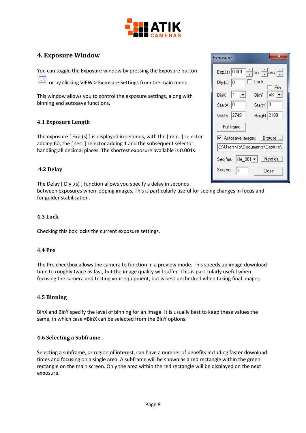

# <span id="page-7-0"></span>**4. Exposure Window**

You can toggle the Exposure window by pressing the Exposure button

or by clicking VIEW > Exposure Settings from the main menu.

This window allows you to control the exposure settings, along with binning and autosave functions.

#### <span id="page-7-1"></span>**4.1 Exposure Length**

The exposure [ Exp.(s) ] is displayed in seconds, with the [ min. ] selector adding 60, the [ sec. ] selector adding 1 and the subsequent selector handling all decimal places. The shortest exposure available is 0.001s.

#### <span id="page-7-2"></span>**4.2 Delay**

The Delay [ Dly .(s) ] function allows you specify a delay in seconds

between exposures when looping images. This is particularly useful for seeing changes in focus and for guider stabilisation.

#### <span id="page-7-3"></span>**4.3 Lock**

Checking this box locks the current exposure settings.

#### <span id="page-7-4"></span>**4.4 Pre**

The Pre checkbox allows the camera to function in a preview mode. This speeds up image download time to roughly twice as fast, but the image quality will suffer. This is particularly useful when focusing the camera and testing your equipment, but is best unchecked when taking final images.

#### <span id="page-7-5"></span>**4.5 Binning**

BinX and BinY specify the level of binning for an image. It is usually best to keep these values the same, in which case =BinX can be selected from the BinY options.

#### <span id="page-7-6"></span>**4.6 Selecting a Subframe**

Selecting a subframe, or region of interest, can have a number of benefits including faster download times and focusing on a single area. A subframe will be shown as a red rectangle within the green rectangle on the main screen. Only the area within the red rectangle will be displayed on the next exposure.

| Exposure                                |
|-----------------------------------------|
| Exp.(s) 0.001<br><u>→</u> min : →sec. → |
| Lock<br>Dly.(s)  O<br>Pre               |
| l⊰≺<br>BinX 11<br>BinY                  |
| Start× 10<br>StartY 0                   |
| Height 2199<br>Width 2749               |
| Full frame                              |
| Ⅳ Autosave Images Browse                |
| C:\Users\Jo\Documents\Capture\          |
| Seq fmt.   file_001   ▼   _ Next dir.   |
| Seq no.<br>Close                        |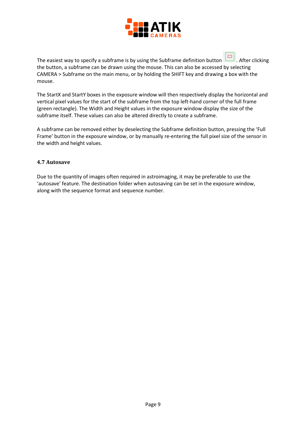

The easiest way to specify a subframe is by using the Subframe definition button  $\Box$  After clicking the button, a subframe can be drawn using the mouse. This can also be accessed by selecting CAMERA > Subframe on the main menu, or by holding the SHIFT key and drawing a box with the mouse.

The StartX and StartY boxes in the exposure window will then respectively display the horizontal and vertical pixel values for the start of the subframe from the top left-hand corner of the full frame (green rectangle). The Width and Height values in the exposure window display the size of the subframe itself. These values can also be altered directly to create a subframe.

A subframe can be removed either by deselecting the Subframe definition button, pressing the 'Full Frame' button in the exposure window, or by manually re-entering the full pixel size of the sensor in the width and height values.

#### <span id="page-8-0"></span>**4.7 Autosave**

Due to the quantity of images often required in astroimaging, it may be preferable to use the 'autosave' feature. The destination folder when autosaving can be set in the exposure window, along with the sequence format and sequence number.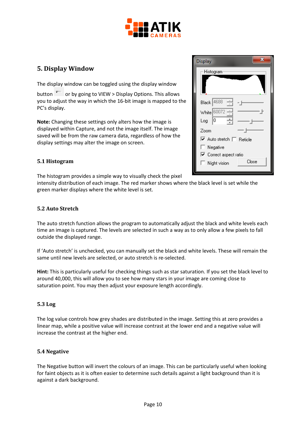

# <span id="page-9-0"></span>**5. Display Window**

The display window can be toggled using the display window

button  $\overline{I}$  or by going to VIEW > Display Options. This allows you to adjust the way in which the 16-bit image is mapped to the PC's display.

**Note:** Changing these settings only alters how the image is displayed within Capture, and not the image itself. The image saved will be from the raw camera data, regardless of how the display settings may alter the image on screen.

#### <span id="page-9-1"></span>**5.1 Histogram**

The histogram provides a simple way to visually check the pixel

intensity distribution of each image. The red marker shows where the black level is set while the green marker displays where the white level is set.

#### <span id="page-9-2"></span>**5.2 Auto Stretch**

The auto stretch function allows the program to automatically adjust the black and white levels each time an image is captured. The levels are selected in such a way as to only allow a few pixels to fall outside the displayed range.

If 'Auto stretch' is unchecked, you can manually set the black and white levels. These will remain the same until new levels are selected, or auto stretch is re-selected.

**Hint:** This is particularly useful for checking things such as star saturation. If you set the black level to around 40,000, this will allow you to see how many stars in your image are coming close to saturation point. You may then adjust your exposure length accordingly.

#### <span id="page-9-3"></span>**5.3 Log**

The log value controls how grey shades are distributed in the image. Setting this at zero provides a linear map, while a positive value will increase contrast at the lower end and a negative value will increase the contrast at the higher end.

#### <span id="page-9-4"></span>**5.4 Negative**

The Negative button will invert the colours of an image. This can be particularly useful when looking for faint objects as it is often easier to determine such details against a light background than it is against a dark background.

| <b>Display</b>                                                                |       |  |
|-------------------------------------------------------------------------------|-------|--|
| Histogram                                                                     |       |  |
| Black 4688<br>White 60072<br>10<br>Log                                        |       |  |
| Zoom<br>V Auto stretch   Reticle<br>$\Box$ Negative<br>□ Correct aspect ratio |       |  |
| Night vision                                                                  | Close |  |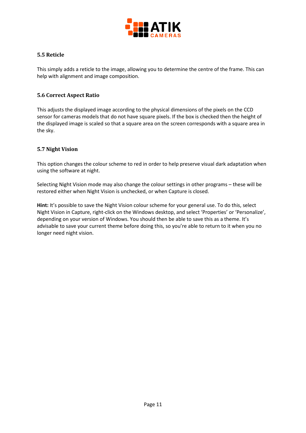

#### <span id="page-10-0"></span>**5.5 Reticle**

This simply adds a reticle to the image, allowing you to determine the centre of the frame. This can help with alignment and image composition.

#### <span id="page-10-1"></span>**5.6 Correct Aspect Ratio**

This adjusts the displayed image according to the physical dimensions of the pixels on the CCD sensor for cameras models that do not have square pixels. If the box is checked then the height of the displayed image is scaled so that a square area on the screen corresponds with a square area in the sky.

#### <span id="page-10-2"></span>**5.7 Night Vision**

This option changes the colour scheme to red in order to help preserve visual dark adaptation when using the software at night.

Selecting Night Vision mode may also change the colour settings in other programs – these will be restored either when Night Vision is unchecked, or when Capture is closed.

**Hint:** It's possible to save the Night Vision colour scheme for your general use. To do this, select Night Vision in Capture, right-click on the Windows desktop, and select 'Properties' or 'Personalize', depending on your version of Windows. You should then be able to save this as a theme. It's advisable to save your current theme before doing this, so you're able to return to it when you no longer need night vision.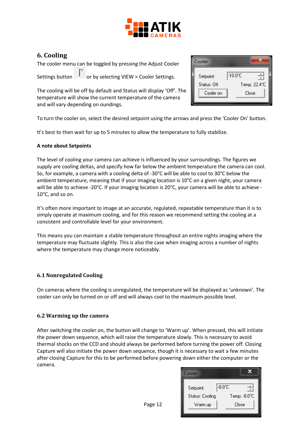

# <span id="page-11-0"></span>**6. Cooling**

The cooler menu can be toggled by pressing the Adjust Cooler

Settings button  $\begin{bmatrix} 1 \\ 1 \end{bmatrix}$  or by selecting VIEW > Cooler Settings.

The cooling will be off by default and Status will display 'Off'. The temperature will show the current temperature of the camera and will vary depending on oundings.

| Cooler                   |                                   |
|--------------------------|-----------------------------------|
| Setpoint:<br>Status: Off | $-10.0^{\circ}$ C<br>Temp: 22.4°C |
| Cooler on                | Close                             |

To turn the cooler on, select the desired setpoint using the arrows and press the 'Cooler On' button.

It's best to then wait for up to 5 minutes to allow the temperature to fully stabilize.

#### **A note about Setpoints**

The level of cooling your camera can achieve is influenced by your surroundings. The figures we supply are cooling deltas, and specify how far below the ambient temperature the camera can cool. So, for example, a camera with a cooling delta of -30°C will be able to cool to 30°C below the ambient temperature, meaning that if your imaging location is 10°C on a given night, your camera will be able to achieve -20°C. If your imaging location is 20°C, your camera will be able to achieve - 10°C, and so on.

It's often more important to image at an accurate, regulated, repeatable temperature than it is to simply operate at maximum cooling, and for this reason we recommend setting the cooling at a consistent and controllable level for your environment.

This means you can maintain a stable temperature throughout an entire nights imaging where the temperature may fluctuate slightly. This is also the case when imaging across a number of nights where the temperature may change more noticeably.

#### <span id="page-11-1"></span>**6.1 Nonregulated Cooling**

On cameras where the cooling is unregulated, the temperature will be displayed as 'unknown'. The cooler can only be turned on or off and will always cool to the maximum possible level.

#### <span id="page-11-2"></span>**6.2 Warming up the camera**

After switching the cooler on, the button will change to 'Warm up'. When pressed, this will initiate the power down sequence, which will raise the temperature slowly. This is necessary to avoid thermal shocks on the CCD and should always be performed before turning the power off. Closing Capture will also initiate the power down sequence, though it is necessary to wait a few minutes after closing Capture for this to be performed before powering down either the computer or the camera.

| Cooler                       |                                  |
|------------------------------|----------------------------------|
| Setpoint:<br>Status: Cooling | $-8.0^{\circ}$ C<br>Temp: -8.0°C |
| Warm up                      | Close                            |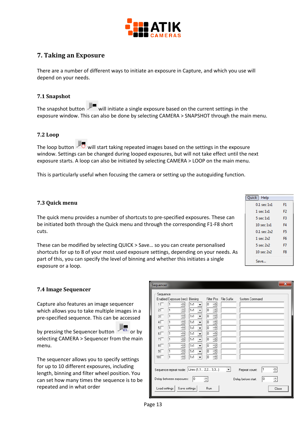

# <span id="page-12-0"></span>**7. Taking an Exposure**

There are a number of different ways to initiate an exposure in Capture, and which you use will depend on your needs.

#### <span id="page-12-1"></span>**7.1 Snapshot**

The snapshot button  $\mathbb{Z}^{\blacksquare}$  will initiate a single exposure based on the current settings in the exposure window. This can also be done by selecting CAMERA > SNAPSHOT through the main menu.

#### <span id="page-12-2"></span>**7.2 Loop**

The loop button  $\vee$  will start taking repeated images based on the settings in the exposure window. Settings can be changed during looped exposures, but will not take effect until the next exposure starts. A loop can also be initiated by selecting CAMERA > LOOP on the main menu.

This is particularly useful when focusing the camera or setting up the autoguiding function.

#### <span id="page-12-3"></span>**7.3 Quick menu**

The quick menu provides a number of shortcuts to pre-specified exposures. These can be initiated both through the Quick menu and through the corresponding F1-F8 short cuts.

These can be modified by selecting QUICK > Save… so you can create personalised shortcuts for up to 8 of your most used exposure settings, depending on your needs. As part of this, you can specify the level of binning and whether this initiates a single exposure or a loop.

| Quick   Help          |                |
|-----------------------|----------------|
| $0.1$ sec $1x1$       | F1             |
| 1 sec 1x1             | F <sub>2</sub> |
| $5 \sec 1x1$          | F3             |
| $10 \text{ sec } 1x1$ | F4             |
| $0.1$ sec $2x2$       | F5             |
| 1 sec $2x2$           | F6             |
| $5$ sec $2x2$         | F7             |
| $10$ sec $2x2$        | F8             |
| Save                  |                |

#### <span id="page-12-4"></span>**7.4 Image Sequencer**

Capture also features an image sequencer which allows you to take multiple images in a pre-specified sequence. This can be accessed

by pressing the Sequencer button  $\overline{\mathbb{R}}$  or by selecting CAMERA > Sequencer from the main menu.

The sequencer allows you to specify settings for up to 10 different exposures, including length, binning and filter wheel position. You can set how many times the sequence is to be repeated and in what order

| $\mathbf{x}$<br>Sequencer                                                                                                                                                                                                                                                                                                                                                                                                                                                                                                                                                                                                            |
|--------------------------------------------------------------------------------------------------------------------------------------------------------------------------------------------------------------------------------------------------------------------------------------------------------------------------------------------------------------------------------------------------------------------------------------------------------------------------------------------------------------------------------------------------------------------------------------------------------------------------------------|
| Sequence<br>Enabled Exposure [sec] Binning<br>Filter Pos<br>File Suffix<br>System Command<br>1Γ<br>÷<br>1x1<br>÷<br>10<br>1<br>÷<br>÷<br>$2\Box$<br>I٥<br>1x1<br>l1<br>$\overline{\phantom{a}}$<br>÷<br>÷<br>1x1<br>lo.<br>$3\Box$<br>l1<br>▼<br>÷<br>÷<br>$4\Box$<br>1x1<br>I٥<br>l1<br>$\overline{\phantom{a}}$<br>÷<br>$5\Box$<br>÷<br>I٥<br>1x1<br>1<br>$\overline{\phantom{a}}$<br>$6\Box$<br>÷<br>÷<br>1x1<br>I٥<br>11<br>▼<br>÷<br>$7\Gamma$<br>÷<br>I٥<br>1x1<br>l1<br>$\overline{\phantom{a}}$<br>$8\Box$<br>÷<br>÷<br>1x1<br>O<br>l1<br>▼<br>÷<br>÷<br>9Γ<br>I٥<br>1x1<br>l1<br>▼<br>÷<br>÷<br>I٥<br>$10\Box$<br>1x1<br>l1 |
| ÷<br>Sequence repeat mode: Lines (1,1 2,2 3,3)<br>$\vert \cdot \vert$<br>Repeat count:                                                                                                                                                                                                                                                                                                                                                                                                                                                                                                                                               |
| O<br>lo.<br>싂<br>싂<br>Delay between exposures:<br>Delay before start:                                                                                                                                                                                                                                                                                                                                                                                                                                                                                                                                                                |
| Load settings<br>Save settings<br><b>Run</b><br>Close                                                                                                                                                                                                                                                                                                                                                                                                                                                                                                                                                                                |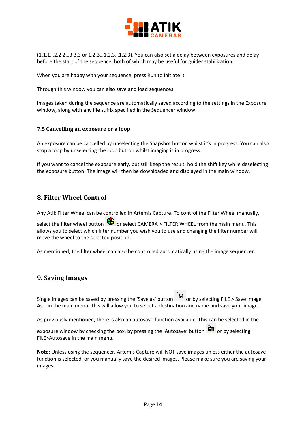

(1,1,1…2,2,2…3,3,3 or 1,2,3…1,2,3…1,2,3). You can also set a delay between exposures and delay before the start of the sequence, both of which may be useful for guider stabilization.

When you are happy with your sequence, press Run to initiate it.

Through this window you can also save and load sequences.

Images taken during the sequence are automatically saved according to the settings in the Exposure window, along with any file suffix specified in the Sequencer window.

#### <span id="page-13-0"></span>**7.5 Cancelling an exposure or a loop**

An exposure can be cancelled by unselecting the Snapshot button whilst it's in progress. You can also stop a loop by unselecting the loop button whilst imaging is in progress.

If you want to cancel the exposure early, but still keep the result, hold the shift key while deselecting the exposure button. The image will then be downloaded and displayed in the main window.

#### <span id="page-13-1"></span>**8. Filter Wheel Control**

Any Atik Filter Wheel can be controlled in Artemis Capture. To control the Filter Wheel manually,

select the filter wheel button  $\bigoplus$  or select CAMERA > FILTER WHEEL from the main menu. This allows you to select which filter number you wish you to use and changing the filter number will move the wheel to the selected position.

As mentioned, the filter wheel can also be controlled automatically using the image sequencer.

#### <span id="page-13-2"></span>**9. Saving Images**

Single images can be saved by pressing the 'Save as' button **button** or by selecting FILE > Save Image As… in the main menu. This will allow you to select a destination and name and save your image.

As previously mentioned, there is also an autosave function available. This can be selected in the

exposure window by checking the box, by pressing the 'Autosave' button  $\Box$  or by selecting FILE>Autosave in the main menu.

**Note:** Unless using the sequencer, Artemis Capture will NOT save images unless either the autosave function is selected, or you manually save the desired images. Please make sure you are saving your images.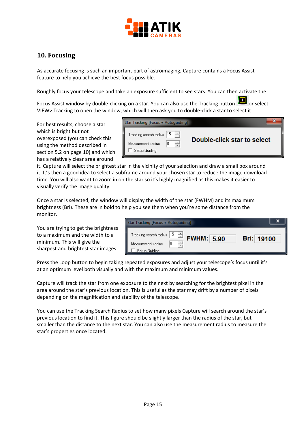

# <span id="page-14-0"></span>**10. Focusing**

As accurate focusing is such an important part of astroimaging, Capture contains a Focus Assist feature to help you achieve the best focus possible.

Roughly focus your telescope and take an exposure sufficient to see stars. You can then activate the

Focus Assist window by double-clicking on a star. You can also use the Tracking button  $\Box$  or select VIEW> Tracking to open the window, which will then ask you to double-click a star to select it.

For best results, choose a star which is bright but not overexposed (you can check this using the method described in section 5.2 on page 10) and which has a relatively clear area around

| Star Tracking [Focus + Autoquiding]                                                         |                             |
|---------------------------------------------------------------------------------------------|-----------------------------|
| Tracking search radius 15<br>싂<br>$\rightarrow$<br>8<br>Measurement radius<br>Setup Guiding | Double-click star to select |

it. Capture will select the brightest star in the vicinity of your selection and draw a small box around it. It's then a good idea to select a subframe around your chosen star to reduce the image download time. You will also want to zoom in on the star so it's highly magnified as this makes it easier to visually verify the image quality.

Once a star is selected, the window will display the width of the star (FWHM) and its maximum brightness (Bri). These are in bold to help you see them when you're some distance from the monitor.

You are trying to get the brightness to a maximum and the width to a minimum. This will give the sharpest and brightest star images.

| Star Tracking [Focus + Autoquiding]                              |                                                   |            |
|------------------------------------------------------------------|---------------------------------------------------|------------|
| Tracking search radius 15<br>Measurement radius<br>Setup Guidina | ÷<br>FWHM: 5.90<br>$\overline{\phantom{a}}$<br>18 | Bri: 19100 |

Press the Loop button to begin taking repeated exposures and adjust your telescope's focus until it's at an optimum level both visually and with the maximum and minimum values.

Capture will track the star from one exposure to the next by searching for the brightest pixel in the area around the star's previous location. This is useful as the star may drift by a number of pixels depending on the magnification and stability of the telescope.

You can use the Tracking Search Radius to set how many pixels Capture will search around the star's previous location to find it. This figure should be slightly larger than the radius of the star, but smaller than the distance to the next star. You can also use the measurement radius to measure the star's properties once located.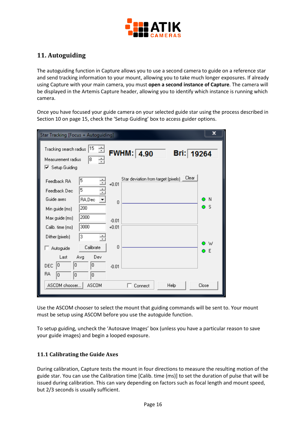

# <span id="page-15-0"></span>**11. Autoguiding**

The autoguiding function in Capture allows you to use a second camera to guide on a reference star and send tracking information to your mount, allowing you to take much longer exposures. If already using Capture with your main camera, you must **open a second instance of Capture**. The camera will be displayed in the Artemis Capture header, allowing you to identify which instance is running which camera.

Once you have focused your guide camera on your selected guide star using the process described in Section 10 on page 15, check the 'Setup Guiding' box to access guider options.

| Star Tracking [Focus + Autoguiding]                                                                                            | x |
|--------------------------------------------------------------------------------------------------------------------------------|---|
| 15<br>쉬<br>Tracking search radius<br><b>FWHM: 4.90</b><br>Bri: 19264<br>Measurement radius<br>8<br>싂<br>$\nabla$ Setup Guiding |   |
| Clear<br>Star deviation from target (pixels)<br>5<br>÷<br>Feedback RA<br>$+0.01$<br>÷<br>5<br>Feedback Dec                     |   |
| Guide axes<br>RA,Dec<br>-N<br>▼<br>0<br>$\bullet$ s<br>200<br>Min guide (ms)                                                   |   |
| 2000<br>Max guide (ms)<br>$-0.01$<br>3000<br>$+0.01$<br>Calib. time (ms)                                                       |   |
| З<br>Dither (pixels)<br>W<br>0<br>Calibrate<br>Autoguide<br>E<br>Ō                                                             |   |
| Last<br>Avg<br>Dev<br>0<br>0<br>0 <br><b>DEC</b><br>$-0.01$<br><b>RA</b><br>I۵<br>0<br>0                                       |   |
| ASCOM chooser<br><b>ASCOM</b><br>Close<br>Help<br>Connect                                                                      |   |

Use the ASCOM chooser to select the mount that guiding commands will be sent to. Your mount must be setup using ASCOM before you use the autoguide function.

To setup guiding, uncheck the 'Autosave Images' box (unless you have a particular reason to save your guide images) and begin a looped exposure.

#### <span id="page-15-1"></span>**11.1 Calibrating the Guide Axes**

During calibration, Capture tests the mount in four directions to measure the resulting motion of the guide star. You can use the Calibration time [Calib. time (ms)] to set the duration of pulse that will be issued during calibration. This can vary depending on factors such as focal length and mount speed, but 2/3 seconds is usually sufficient.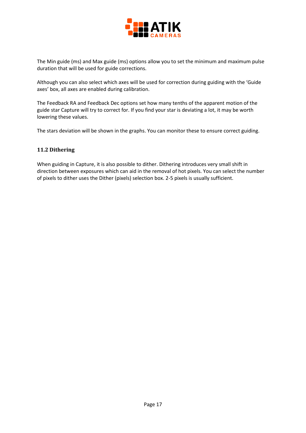

The Min guide (ms) and Max guide (ms) options allow you to set the minimum and maximum pulse duration that will be used for guide corrections.

Although you can also select which axes will be used for correction during guiding with the 'Guide axes' box, all axes are enabled during calibration.

The Feedback RA and Feedback Dec options set how many tenths of the apparent motion of the guide star Capture will try to correct for. If you find your star is deviating a lot, it may be worth lowering these values.

The stars deviation will be shown in the graphs. You can monitor these to ensure correct guiding.

#### <span id="page-16-0"></span>**11.2 Dithering**

When guiding in Capture, it is also possible to dither. Dithering introduces very small shift in direction between exposures which can aid in the removal of hot pixels. You can select the number of pixels to dither uses the Dither (pixels) selection box. 2-5 pixels is usually sufficient.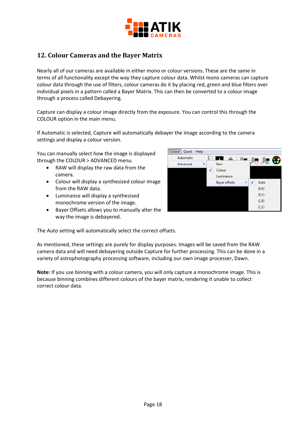

# <span id="page-17-0"></span>**12. Colour Cameras and the Bayer Matrix**

Nearly all of our cameras are available in either mono or colour versions. These are the same in terms of all functionality except the way they capture colour data. Whilst mono cameras can capture colour data through the use of filters, colour cameras do it by placing red, green and blue filters over individual pixels in a pattern called a Bayer Matrix. This can then be converted to a colour image through a process called Debayering.

Capture can display a colour image directly from the exposure. You can control this through the COLOUR option in the main menu.

If Automatic is selected, Capture will automatically debayer the image according to the camera settings and display a colour version.

You can manually select how the image is displayed through the COLOUR > ADVANCED menu.

- RAW will display the raw data from the camera.
- Colour will display a synthesized colour image from the RAW data.
- Luminance will display a synthesised monochrome version of the image.
- Bayer Offsets allows you to manually alter the way the image is debayered.



The Auto setting will automatically select the correct offsets.

As mentioned, these settings are purely for display purposes. Images will be saved from the RAW camera data and will need debayering outside Capture for further processing. This can be done in a variety of astrophotography processing software, including our own image processer, Dawn.

**Note:** If you use binning with a colour camera, you will only capture a monochrome image. This is because binning combines different colours of the bayer matrix, rendering it unable to collect correct colour data.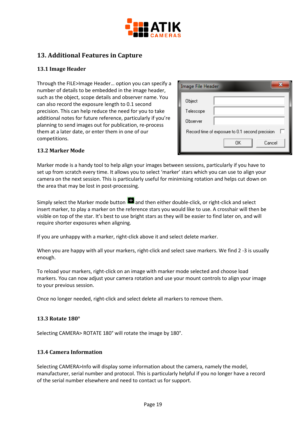

# <span id="page-18-0"></span>**13. Additional Features in Capture**

#### <span id="page-18-1"></span>**13.1 Image Header**

Through the FILE>Image Header… option you can specify a number of details to be embedded in the image header, such as the object, scope details and observer name. You can also record the exposure length to 0.1 second precision. This can help reduce the need for you to take additional notes for future reference, particularly if you're planning to send images out for publication, re-process them at a later date, or enter them in one of our competitions.

| <b>Image File Header</b>                             |    |        |
|------------------------------------------------------|----|--------|
| Object                                               |    |        |
| Telescope                                            |    |        |
| Observer                                             |    |        |
| Record time of exposure to 0.1 second precision<br>ш |    |        |
|                                                      | OΚ | Cancel |

#### <span id="page-18-2"></span>**13.2 Marker Mode**

Marker mode is a handy tool to help align your images between sessions, particularly if you have to set up from scratch every time. It allows you to select 'marker' stars which you can use to align your camera on the next session. This is particularly useful for minimising rotation and helps cut down on the area that may be lost in post-processing.

Simply select the Marker mode button  $\blacksquare$  and then either double-click, or right-click and select insert marker, to play a marker on the reference stars you would like to use. A crosshair will then be visible on top of the star. It's best to use bright stars as they will be easier to find later on, and will require shorter exposures when aligning.

If you are unhappy with a marker, right-click above it and select delete marker.

When you are happy with all your markers, right-click and select save markers. We find 2 -3 is usually enough.

To reload your markers, right-click on an image with marker mode selected and choose load markers. You can now adjust your camera rotation and use your mount controls to align your image to your previous session.

Once no longer needed, right-click and select delete all markers to remove them.

#### <span id="page-18-3"></span>**13.3 Rotate 180°**

Selecting CAMERA> ROTATE 180° will rotate the image by 180°.

#### <span id="page-18-4"></span>**13.4 Camera Information**

Selecting CAMERA>Info will display some information about the camera, namely the model, manufacturer, serial number and protocol. This is particularly helpful if you no longer have a record of the serial number elsewhere and need to contact us for support.